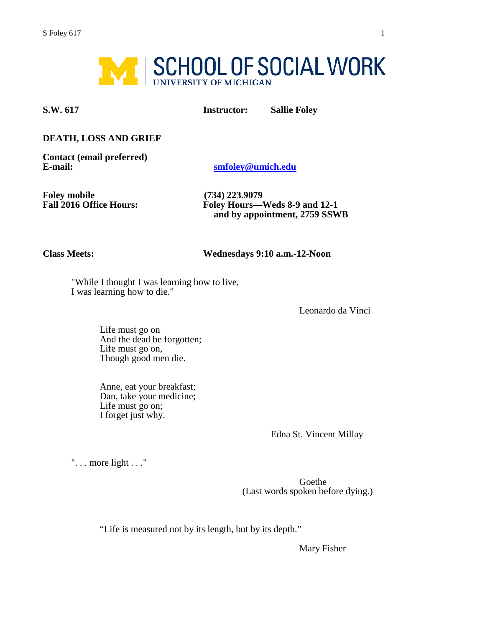

**S.W. 617 Instructor: Sallie Foley** 

#### **DEATH, LOSS AND GRIEF**

**Contact (email preferred)**

**E-mail: [smfoley@umich.edu](mailto:smfoley@umich.edu)**

**Foley mobile** (734) 223.9079<br>**Fall 2016 Office Hours:** Foley Hours—

**Fall 2016 Office Hours: Foley Hours—Weds 8-9 and 12-1 and by appointment, 2759 SSWB** 

**Class Meets: Wednesdays 9:10 a.m.-12-Noon** 

"While I thought I was learning how to live, I was learning how to die."

Leonardo da Vinci

Life must go on And the dead be forgotten; Life must go on, Though good men die.

Anne, eat your breakfast; Dan, take your medicine; Life must go on; I forget just why.

Edna St. Vincent Millay

". . . more light . . ."

Goethe (Last words spoken before dying.)

"Life is measured not by its length, but by its depth."

Mary Fisher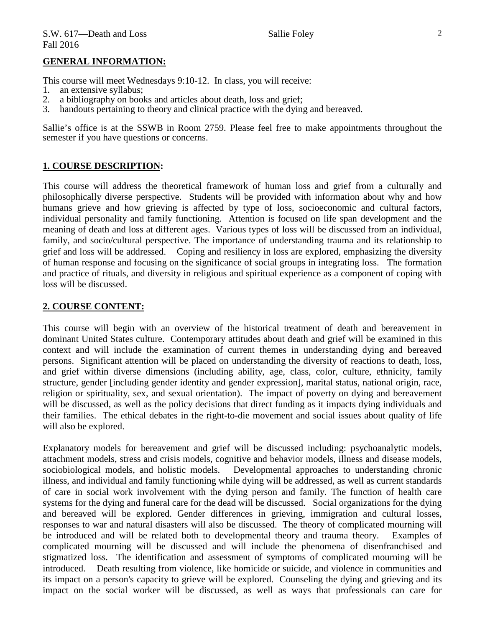#### **GENERAL INFORMATION:**

This course will meet Wednesdays 9:10-12. In class, you will receive:

- 1. an extensive syllabus;<br>2. a bibliography on bool
- a bibliography on books and articles about death, loss and grief;
- 3. handouts pertaining to theory and clinical practice with the dying and bereaved.

Sallie's office is at the SSWB in Room 2759. Please feel free to make appointments throughout the semester if you have questions or concerns.

#### **1. COURSE DESCRIPTION:**

This course will address the theoretical framework of human loss and grief from a culturally and philosophically diverse perspective. Students will be provided with information about why and how humans grieve and how grieving is affected by type of loss, socioeconomic and cultural factors, individual personality and family functioning. Attention is focused on life span development and the meaning of death and loss at different ages. Various types of loss will be discussed from an individual, family, and socio/cultural perspective. The importance of understanding trauma and its relationship to grief and loss will be addressed. Coping and resiliency in loss are explored, emphasizing the diversity of human response and focusing on the significance of social groups in integrating loss. The formation and practice of rituals, and diversity in religious and spiritual experience as a component of coping with loss will be discussed.

#### **2. COURSE CONTENT:**

This course will begin with an overview of the historical treatment of death and bereavement in dominant United States culture. Contemporary attitudes about death and grief will be examined in this context and will include the examination of current themes in understanding dying and bereaved persons. Significant attention will be placed on understanding the diversity of reactions to death, loss, and grief within diverse dimensions (including ability, age, class, color, culture, ethnicity, family structure, gender [including gender identity and gender expression], marital status, national origin, race, religion or spirituality, sex, and sexual orientation). The impact of poverty on dying and bereavement will be discussed, as well as the policy decisions that direct funding as it impacts dying individuals and their families. The ethical debates in the right-to-die movement and social issues about quality of life will also be explored.

Explanatory models for bereavement and grief will be discussed including: psychoanalytic models, attachment models, stress and crisis models, cognitive and behavior models, illness and disease models, sociobiological models, and holistic models. Developmental approaches to understanding chronic illness, and individual and family functioning while dying will be addressed, as well as current standards of care in social work involvement with the dying person and family. The function of health care systems for the dying and funeral care for the dead will be discussed. Social organizations for the dying and bereaved will be explored. Gender differences in grieving, immigration and cultural losses, responses to war and natural disasters will also be discussed. The theory of complicated mourning will be introduced and will be related both to developmental theory and trauma theory. Examples of complicated mourning will be discussed and will include the phenomena of disenfranchised and stigmatized loss. The identification and assessment of symptoms of complicated mourning will be introduced. Death resulting from violence, like homicide or suicide, and violence in communities and its impact on a person's capacity to grieve will be explored. Counseling the dying and grieving and its impact on the social worker will be discussed, as well as ways that professionals can care for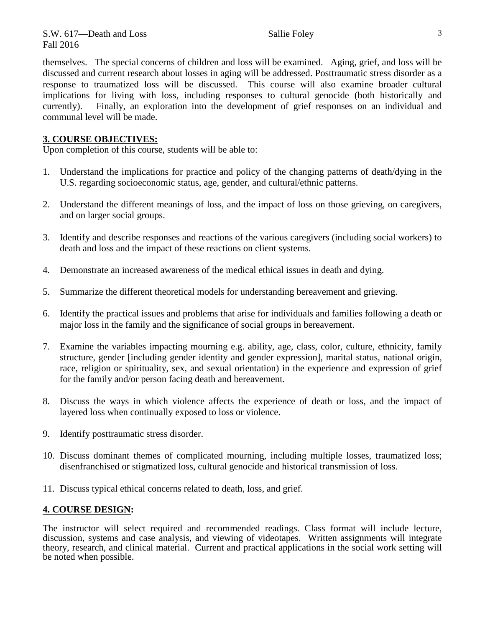themselves. The special concerns of children and loss will be examined. Aging, grief, and loss will be discussed and current research about losses in aging will be addressed. Posttraumatic stress disorder as a response to traumatized loss will be discussed. This course will also examine broader cultural implications for living with loss, including responses to cultural genocide (both historically and currently). Finally, an exploration into the development of grief responses on an individual and communal level will be made.

### **3. COURSE OBJECTIVES:**

Upon completion of this course, students will be able to:

- 1. Understand the implications for practice and policy of the changing patterns of death/dying in the U.S. regarding socioeconomic status, age, gender, and cultural/ethnic patterns.
- 2. Understand the different meanings of loss, and the impact of loss on those grieving, on caregivers, and on larger social groups.
- 3. Identify and describe responses and reactions of the various caregivers (including social workers) to death and loss and the impact of these reactions on client systems.
- 4. Demonstrate an increased awareness of the medical ethical issues in death and dying.
- 5. Summarize the different theoretical models for understanding bereavement and grieving.
- 6. Identify the practical issues and problems that arise for individuals and families following a death or major loss in the family and the significance of social groups in bereavement.
- 7. Examine the variables impacting mourning e.g. ability, age, class, color, culture, ethnicity, family structure, gender [including gender identity and gender expression], marital status, national origin, race, religion or spirituality, sex, and sexual orientation) in the experience and expression of grief for the family and/or person facing death and bereavement.
- 8. Discuss the ways in which violence affects the experience of death or loss, and the impact of layered loss when continually exposed to loss or violence.
- 9. Identify posttraumatic stress disorder.
- 10. Discuss dominant themes of complicated mourning, including multiple losses, traumatized loss; disenfranchised or stigmatized loss, cultural genocide and historical transmission of loss.
- 11. Discuss typical ethical concerns related to death, loss, and grief.

#### **4. COURSE DESIGN:**

The instructor will select required and recommended readings. Class format will include lecture, discussion, systems and case analysis, and viewing of videotapes. Written assignments will integrate theory, research, and clinical material. Current and practical applications in the social work setting will be noted when possible.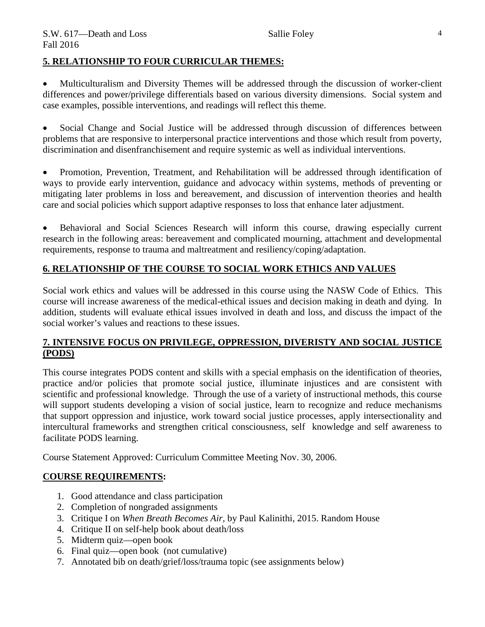#### **5. RELATIONSHIP TO FOUR CURRICULAR THEMES:**

• Multiculturalism and Diversity Themes will be addressed through the discussion of worker-client differences and power/privilege differentials based on various diversity dimensions. Social system and case examples, possible interventions, and readings will reflect this theme.

Social Change and Social Justice will be addressed through discussion of differences between problems that are responsive to interpersonal practice interventions and those which result from poverty, discrimination and disenfranchisement and require systemic as well as individual interventions.

• Promotion, Prevention, Treatment, and Rehabilitation will be addressed through identification of ways to provide early intervention, guidance and advocacy within systems, methods of preventing or mitigating later problems in loss and bereavement, and discussion of intervention theories and health care and social policies which support adaptive responses to loss that enhance later adjustment.

• Behavioral and Social Sciences Research will inform this course, drawing especially current research in the following areas: bereavement and complicated mourning, attachment and developmental requirements, response to trauma and maltreatment and resiliency/coping/adaptation.

## **6. RELATIONSHIP OF THE COURSE TO SOCIAL WORK ETHICS AND VALUES**

Social work ethics and values will be addressed in this course using the NASW Code of Ethics. This course will increase awareness of the medical-ethical issues and decision making in death and dying. In addition, students will evaluate ethical issues involved in death and loss, and discuss the impact of the social worker's values and reactions to these issues.

#### **7. INTENSIVE FOCUS ON PRIVILEGE, OPPRESSION, DIVERISTY AND SOCIAL JUSTICE (PODS)**

This course integrates PODS content and skills with a special emphasis on the identification of theories, practice and/or policies that promote social justice, illuminate injustices and are consistent with scientific and professional knowledge. Through the use of a variety of instructional methods, this course will support students developing a vision of social justice, learn to recognize and reduce mechanisms that support oppression and injustice, work toward social justice processes, apply intersectionality and intercultural frameworks and strengthen critical consciousness, self knowledge and self awareness to facilitate PODS learning.

Course Statement Approved: Curriculum Committee Meeting Nov. 30, 2006.

## **COURSE REQUIREMENTS:**

- 1. Good attendance and class participation
- 2. Completion of nongraded assignments
- 3. Critique I on *When Breath Becomes Air,* by Paul Kalinithi, 2015. Random House
- 4. Critique II on self-help book about death/loss
- 5. Midterm quiz—open book
- 6. Final quiz—open book (not cumulative)
- 7. Annotated bib on death/grief/loss/trauma topic (see assignments below)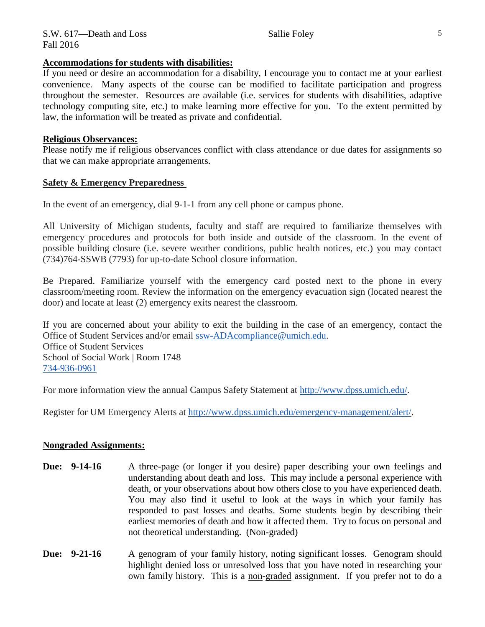#### **Accommodations for students with disabilities:**

If you need or desire an accommodation for a disability, I encourage you to contact me at your earliest convenience. Many aspects of the course can be modified to facilitate participation and progress throughout the semester. Resources are available (i.e. services for students with disabilities, adaptive technology computing site, etc.) to make learning more effective for you. To the extent permitted by law, the information will be treated as private and confidential.

#### **Religious Observances:**

Please notify me if religious observances conflict with class attendance or due dates for assignments so that we can make appropriate arrangements.

#### **Safety & Emergency Preparedness**

In the event of an emergency, dial 9-1-1 from any cell phone or campus phone.

All University of Michigan students, faculty and staff are required to familiarize themselves with emergency procedures and protocols for both inside and outside of the classroom. In the event of possible building closure (i.e. severe weather conditions, public health notices, etc.) you may contact (734)764-SSWB (7793) for up-to-date School closure information.

Be Prepared. Familiarize yourself with the emergency card posted next to the phone in every classroom/meeting room. Review the information on the emergency evacuation sign (located nearest the door) and locate at least (2) emergency exits nearest the classroom.

If you are concerned about your ability to exit the building in the case of an emergency, contact the Office of Student Services and/or email [ssw-ADAcompliance@umich.edu.](mailto:ssw-ADAcompliance@umich.edu) Office of Student Services School of Social Work | Room 1748 [734-936-0961](tel:734-936-0961)

For more information view the annual Campus Safety Statement at [http://www.dpss.umich.edu/.](http://www.dpss.umich.edu/)

Register for UM Emergency Alerts at [http://www.dpss.umich.edu/emergency-management/alert/.](http://www.dpss.umich.edu/emergency-management/alert/)

#### **Nongraded Assignments:**

- **Due: 9-14-16** A three-page (or longer if you desire) paper describing your own feelings and understanding about death and loss. This may include a personal experience with death, or your observations about how others close to you have experienced death. You may also find it useful to look at the ways in which your family has responded to past losses and deaths. Some students begin by describing their earliest memories of death and how it affected them. Try to focus on personal and not theoretical understanding. (Non-graded)
- **Due:** 9-21-16 A genogram of your family history, noting significant losses. Genogram should highlight denied loss or unresolved loss that you have noted in researching your own family history. This is a non-graded assignment. If you prefer not to do a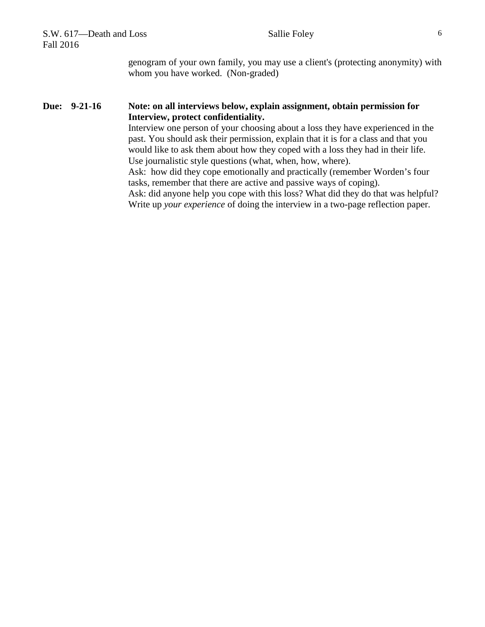| S.W. 617-Death and Loss<br>Fall 2016 | 6<br>Sallie Foley                                                                                                                                                                                                                                                                                                                                                                                                                                                                                                                                                                                                                                                                                                                                                    |
|--------------------------------------|----------------------------------------------------------------------------------------------------------------------------------------------------------------------------------------------------------------------------------------------------------------------------------------------------------------------------------------------------------------------------------------------------------------------------------------------------------------------------------------------------------------------------------------------------------------------------------------------------------------------------------------------------------------------------------------------------------------------------------------------------------------------|
|                                      | genogram of your own family, you may use a client's (protecting anonymity) with<br>whom you have worked. (Non-graded)                                                                                                                                                                                                                                                                                                                                                                                                                                                                                                                                                                                                                                                |
| Due: 9-21-16                         | Note: on all interviews below, explain assignment, obtain permission for<br>Interview, protect confidentiality.<br>Interview one person of your choosing about a loss they have experienced in the<br>past. You should ask their permission, explain that it is for a class and that you<br>would like to ask them about how they coped with a loss they had in their life.<br>Use journalistic style questions (what, when, how, where).<br>Ask: how did they cope emotionally and practically (remember Worden's four<br>tasks, remember that there are active and passive ways of coping).<br>Ask: did anyone help you cope with this loss? What did they do that was helpful?<br>Write up your experience of doing the interview in a two-page reflection paper. |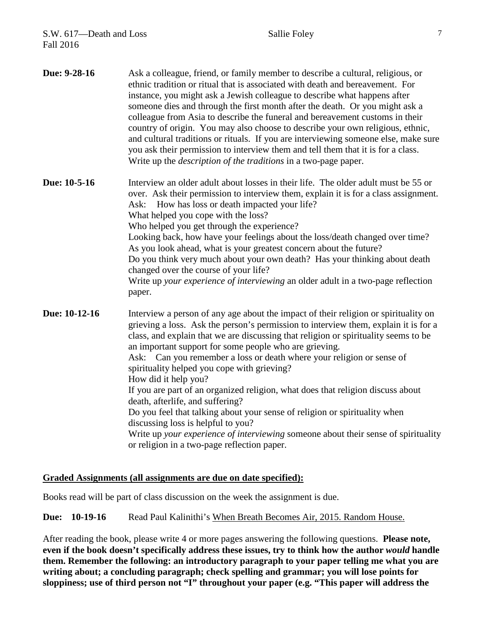| Due: 9-28-16  | Ask a colleague, friend, or family member to describe a cultural, religious, or<br>ethnic tradition or ritual that is associated with death and bereavement. For<br>instance, you might ask a Jewish colleague to describe what happens after<br>someone dies and through the first month after the death. Or you might ask a<br>colleague from Asia to describe the funeral and bereavement customs in their<br>country of origin. You may also choose to describe your own religious, ethnic,<br>and cultural traditions or rituals. If you are interviewing someone else, make sure<br>you ask their permission to interview them and tell them that it is for a class.<br>Write up the <i>description of the traditions</i> in a two-page paper.                                                                                                        |
|---------------|-------------------------------------------------------------------------------------------------------------------------------------------------------------------------------------------------------------------------------------------------------------------------------------------------------------------------------------------------------------------------------------------------------------------------------------------------------------------------------------------------------------------------------------------------------------------------------------------------------------------------------------------------------------------------------------------------------------------------------------------------------------------------------------------------------------------------------------------------------------|
| Due: 10-5-16  | Interview an older adult about losses in their life. The older adult must be 55 or<br>over. Ask their permission to interview them, explain it is for a class assignment.<br>Ask: How has loss or death impacted your life?<br>What helped you cope with the loss?<br>Who helped you get through the experience?<br>Looking back, how have your feelings about the loss/death changed over time?<br>As you look ahead, what is your greatest concern about the future?<br>Do you think very much about your own death? Has your thinking about death<br>changed over the course of your life?<br>Write up your experience of interviewing an older adult in a two-page reflection<br>paper.                                                                                                                                                                 |
| Due: 10-12-16 | Interview a person of any age about the impact of their religion or spirituality on<br>grieving a loss. Ask the person's permission to interview them, explain it is for a<br>class, and explain that we are discussing that religion or spirituality seems to be<br>an important support for some people who are grieving.<br>Ask: Can you remember a loss or death where your religion or sense of<br>spirituality helped you cope with grieving?<br>How did it help you?<br>If you are part of an organized religion, what does that religion discuss about<br>death, afterlife, and suffering?<br>Do you feel that talking about your sense of religion or spirituality when<br>discussing loss is helpful to you?<br>Write up your experience of interviewing someone about their sense of spirituality<br>or religion in a two-page reflection paper. |

# **Graded Assignments (all assignments are due on date specified):**

Books read will be part of class discussion on the week the assignment is due.

**Due: 10-19-16** Read Paul Kalinithi's When Breath Becomes Air, 2015. Random House.

After reading the book, please write 4 or more pages answering the following questions. **Please note,**  even if the book doesn't specifically address these issues, try to think how the author *would* handle **them. Remember the following: an introductory paragraph to your paper telling me what you are writing about; a concluding paragraph; check spelling and grammar; you will lose points for sloppiness; use of third person not "I" throughout your paper (e.g. "This paper will address the**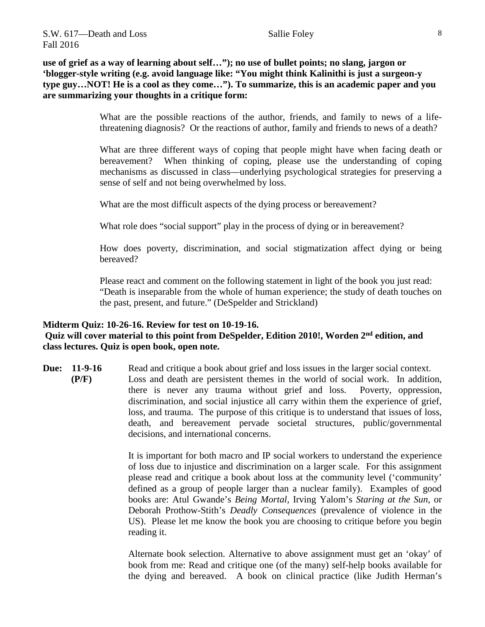**use of grief as a way of learning about self…"); no use of bullet points; no slang, jargon or 'blogger-style writing (e.g. avoid language like: "You might think Kalinithi is just a surgeon-y type guy…NOT! He is a cool as they come…"). To summarize, this is an academic paper and you are summarizing your thoughts in a critique form:**

> What are the possible reactions of the author, friends, and family to news of a lifethreatening diagnosis? Or the reactions of author, family and friends to news of a death?

> What are three different ways of coping that people might have when facing death or bereavement? When thinking of coping, please use the understanding of coping mechanisms as discussed in class—underlying psychological strategies for preserving a sense of self and not being overwhelmed by loss.

What are the most difficult aspects of the dying process or bereavement?

What role does "social support" play in the process of dying or in bereavement?

How does poverty, discrimination, and social stigmatization affect dying or being bereaved?

Please react and comment on the following statement in light of the book you just read: "Death is inseparable from the whole of human experience; the study of death touches on the past, present, and future." (DeSpelder and Strickland)

#### **Midterm Quiz: 10-26-16. Review for test on 10-19-16. Quiz will cover material to this point from DeSpelder, Edition 2010!, Worden 2nd edition, and class lectures. Quiz is open book, open note.**

**Due:** 11-9-16 Read and critique a book about grief and loss issues in the larger social context. **(P/F)** Loss and death are persistent themes in the world of social work. In addition, there is never any trauma without grief and loss. Poverty, oppression, discrimination, and social injustice all carry within them the experience of grief, loss, and trauma. The purpose of this critique is to understand that issues of loss, death, and bereavement pervade societal structures, public/governmental decisions, and international concerns.

> It is important for both macro and IP social workers to understand the experience of loss due to injustice and discrimination on a larger scale. For this assignment please read and critique a book about loss at the community level ('community' defined as a group of people larger than a nuclear family). Examples of good books are: Atul Gwande's *Being Mortal,* Irving Yalom's *Staring at the Sun,* or Deborah Prothow-Stith's *Deadly Consequences* (prevalence of violence in the US). Please let me know the book you are choosing to critique before you begin reading it.

> Alternate book selection. Alternative to above assignment must get an 'okay' of book from me: Read and critique one (of the many) self-help books available for the dying and bereaved. A book on clinical practice (like Judith Herman's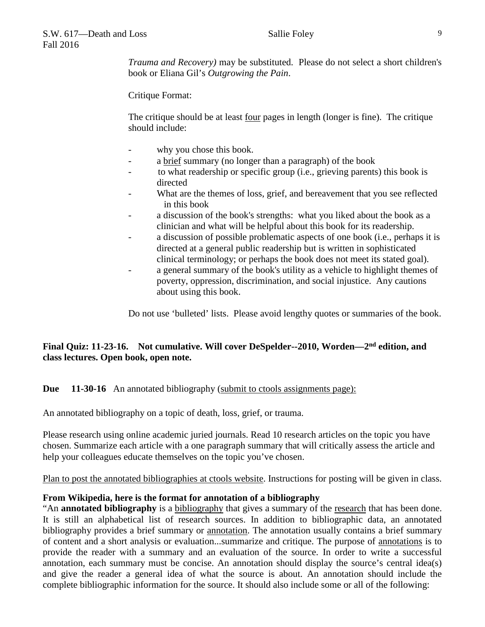*Trauma and Recovery)* may be substituted. Please do not select a short children's book or Eliana Gil's *Outgrowing the Pain*.

Critique Format:

The critique should be at least four pages in length (longer is fine). The critique should include:

- why you chose this book.
- a brief summary (no longer than a paragraph) of the book
- to what readership or specific group (i.e., grieving parents) this book is directed
- What are the themes of loss, grief, and bereavement that you see reflected in this book
- a discussion of the book's strengths: what you liked about the book as a clinician and what will be helpful about this book for its readership.
- a discussion of possible problematic aspects of one book (i.e., perhaps it is directed at a general public readership but is written in sophisticated clinical terminology; or perhaps the book does not meet its stated goal).
- a general summary of the book's utility as a vehicle to highlight themes of poverty, oppression, discrimination, and social injustice. Any cautions about using this book.

Do not use 'bulleted' lists. Please avoid lengthy quotes or summaries of the book.

# **Final Quiz: 11-23-16. Not cumulative. Will cover DeSpelder--2010, Worden—2nd edition, and class lectures. Open book, open note.**

## **Due 11-30-16** An annotated bibliography (submit to ctools assignments page):

An annotated bibliography on a topic of death, loss, grief, or trauma.

Please research using online academic juried journals. Read 10 research articles on the topic you have chosen. Summarize each article with a one paragraph summary that will critically assess the article and help your colleagues educate themselves on the topic you've chosen.

Plan to post the annotated bibliographies at ctools website. Instructions for posting will be given in class.

#### **From Wikipedia, here is the format for annotation of a bibliography**

"An **annotated bibliography** is a [bibliography](http://en.wikipedia.org/wiki/Bibliography) that gives a summary of the [research](http://en.wikipedia.org/wiki/Research) that has been done. It is still an alphabetical list of research sources. In addition to bibliographic data, an annotated bibliography provides a brief summary or [annotation.](http://en.wikipedia.org/wiki/Annotation) The annotation usually contains a brief summary of content and a short analysis or evaluation...summarize and critique. The purpose of [annotations](http://en.wikipedia.org/wiki/Annotations) is to provide the reader with a summary and an evaluation of the source. In order to write a successful annotation, each summary must be concise. An annotation should display the source's central idea(s) and give the reader a general idea of what the source is about. An annotation should include the complete bibliographic information for the source. It should also include some or all of the following: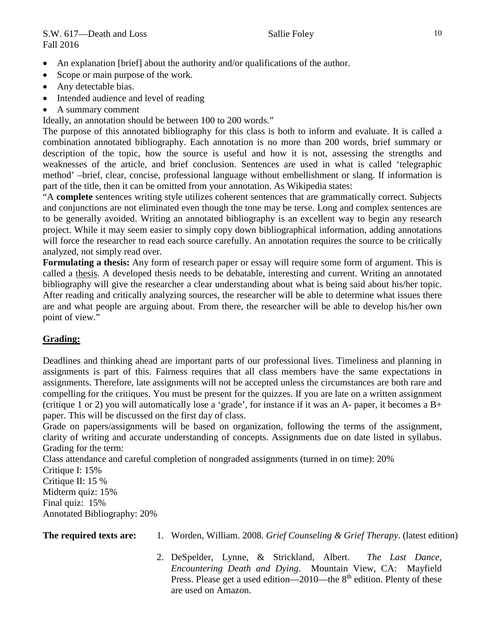- An explanation [brief] about the authority and/or qualifications of the author.
- Scope or main purpose of the work.
- Any detectable bias.
- Intended audience and level of reading
- A summary comment

Ideally, an annotation should be between 100 to 200 words."

The purpose of this annotated bibliography for this class is both to inform and evaluate. It is called a combination annotated bibliography. Each annotation is no more than 200 words, brief summary or description of the topic, how the source is useful and how it is not, assessing the strengths and weaknesses of the article, and brief conclusion. Sentences are used in what is called 'telegraphic method' –brief, clear, concise, professional language without embellishment or slang. If information is part of the title, then it can be omitted from your annotation. As Wikipedia states:

"A **complete** sentences writing style utilizes coherent sentences that are grammatically correct. Subjects and conjunctions are not eliminated even though the tone may be terse. Long and complex sentences are to be generally avoided. Writing an annotated bibliography is an excellent way to begin any research project. While it may seem easier to simply copy down bibliographical information, adding annotations will force the researcher to read each source carefully. An annotation requires the source to be critically analyzed, not simply read over.

**Formulating a thesis:** Any form of research paper or essay will require some form of argument. This is called a [thesis.](http://en.wikipedia.org/wiki/Thesis) A developed thesis needs to be debatable, interesting and current. Writing an annotated bibliography will give the researcher a clear understanding about what is being said about his/her topic. After reading and critically analyzing sources, the researcher will be able to determine what issues there are and what people are arguing about. From there, the researcher will be able to develop his/her own point of view."

# **Grading:**

Deadlines and thinking ahead are important parts of our professional lives. Timeliness and planning in assignments is part of this. Fairness requires that all class members have the same expectations in assignments. Therefore, late assignments will not be accepted unless the circumstances are both rare and compelling for the critiques. You must be present for the quizzes. If you are late on a written assignment (critique 1 or 2) you will automatically lose a 'grade', for instance if it was an A- paper, it becomes a B+ paper. This will be discussed on the first day of class.

Grade on papers/assignments will be based on organization, following the terms of the assignment, clarity of writing and accurate understanding of concepts. Assignments due on date listed in syllabus. Grading for the term:

Class attendance and careful completion of nongraded assignments (turned in on time): 20% Critique I: 15% Critique II: 15 %

Midterm quiz: 15% Final quiz: 15% Annotated Bibliography: 20%

| The required texts are: |  |  |  |  |  | Worden, William. 2008. Grief Counseling & Grief Therapy. (latest edition) |  |  |  |  |  |
|-------------------------|--|--|--|--|--|---------------------------------------------------------------------------|--|--|--|--|--|
|-------------------------|--|--|--|--|--|---------------------------------------------------------------------------|--|--|--|--|--|

2. DeSpelder, Lynne, & Strickland, Albert. *The Last Dance, Encountering Death and Dying*. Mountain View, CA: Mayfield Press. Please get a used edition—2010—the  $8<sup>th</sup>$  edition. Plenty of these are used on Amazon.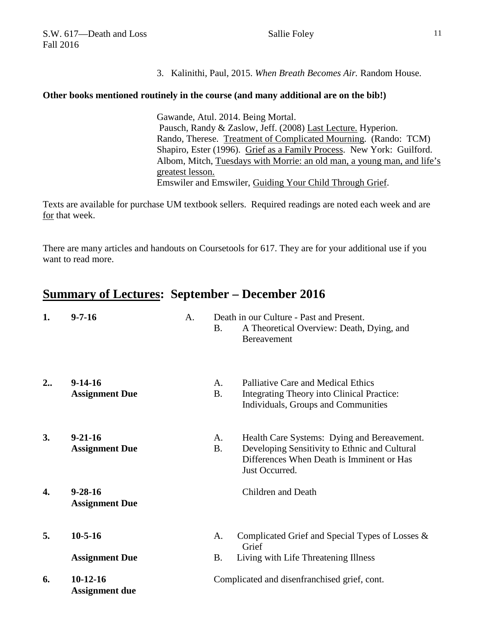3. Kalinithi, Paul, 2015. *When Breath Becomes Air.* Random House.

#### **Other books mentioned routinely in the course (and many additional are on the bib!)**

Gawande, Atul. 2014. Being Mortal. Pausch, Randy & Zaslow, Jeff. (2008) Last Lecture. Hyperion. Rando, Therese. Treatment of Complicated Mourning. (Rando: TCM) Shapiro, Ester (1996). Grief as a Family Process. New York: Guilford. Albom, Mitch, Tuesdays with Morrie: an old man, a young man, and life's greatest lesson. Emswiler and Emswiler, Guiding Your Child Through Grief.

Texts are available for purchase UM textbook sellers. Required readings are noted each week and are for that week.

There are many articles and handouts on Coursetools for 617. They are for your additional use if you want to read more.

# **Summary of Lectures: September – December 2016**

| 1. | $9 - 7 - 16$                           | A. | <b>B.</b>                                    | Death in our Culture - Past and Present.<br>A Theoretical Overview: Death, Dying, and<br>Bereavement                                                        |  |  |
|----|----------------------------------------|----|----------------------------------------------|-------------------------------------------------------------------------------------------------------------------------------------------------------------|--|--|
| 2  | $9-14-16$<br><b>Assignment Due</b>     |    | A.<br><b>B.</b>                              | Palliative Care and Medical Ethics<br><b>Integrating Theory into Clinical Practice:</b><br>Individuals, Groups and Communities                              |  |  |
| 3. | $9 - 21 - 16$<br><b>Assignment Due</b> |    | A.<br><b>B.</b>                              | Health Care Systems: Dying and Bereavement.<br>Developing Sensitivity to Ethnic and Cultural<br>Differences When Death is Imminent or Has<br>Just Occurred. |  |  |
| 4. | $9 - 28 - 16$<br><b>Assignment Due</b> |    |                                              | Children and Death                                                                                                                                          |  |  |
| 5. | $10 - 5 - 16$                          |    | A.                                           | Complicated Grief and Special Types of Losses $\&$<br>Grief                                                                                                 |  |  |
|    | <b>Assignment Due</b>                  |    | Β.                                           | Living with Life Threatening Illness                                                                                                                        |  |  |
| 6. | $10-12-16$<br><b>Assignment due</b>    |    | Complicated and disenfranchised grief, cont. |                                                                                                                                                             |  |  |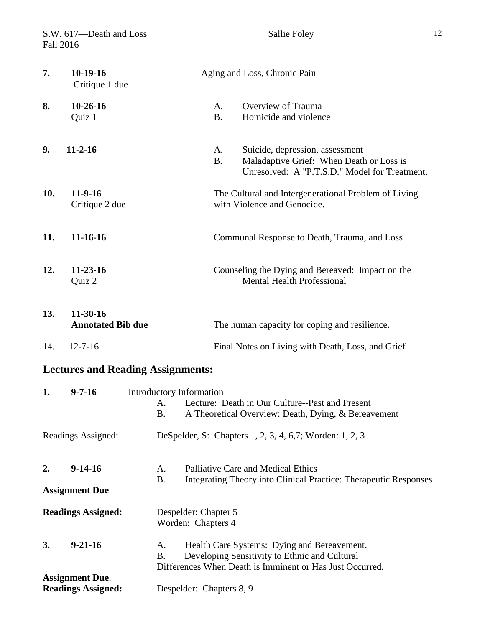|     | S.W. 617-Death and Loss<br>Fall 2016                |                                             |                                                                                                                                                          | Sallie Foley                                                                                                                 | 12 |  |  |  |
|-----|-----------------------------------------------------|---------------------------------------------|----------------------------------------------------------------------------------------------------------------------------------------------------------|------------------------------------------------------------------------------------------------------------------------------|----|--|--|--|
| 7.  | 10-19-16<br>Critique 1 due                          |                                             |                                                                                                                                                          | Aging and Loss, Chronic Pain                                                                                                 |    |  |  |  |
| 8.  | $10-26-16$<br>Quiz 1                                |                                             | A.<br><b>B.</b>                                                                                                                                          | Overview of Trauma<br>Homicide and violence                                                                                  |    |  |  |  |
| 9.  | $11 - 2 - 16$                                       |                                             | A.<br><b>B.</b>                                                                                                                                          | Suicide, depression, assessment<br>Maladaptive Grief: When Death or Loss is<br>Unresolved: A "P.T.S.D." Model for Treatment. |    |  |  |  |
| 10. | $11-9-16$<br>Critique 2 due                         |                                             |                                                                                                                                                          | The Cultural and Intergenerational Problem of Living<br>with Violence and Genocide.                                          |    |  |  |  |
| 11. | $11 - 16 - 16$                                      |                                             |                                                                                                                                                          | Communal Response to Death, Trauma, and Loss                                                                                 |    |  |  |  |
| 12. | $11 - 23 - 16$<br>Quiz 2                            |                                             |                                                                                                                                                          | Counseling the Dying and Bereaved: Impact on the<br><b>Mental Health Professional</b>                                        |    |  |  |  |
| 13. | $11-30-16$<br><b>Annotated Bib due</b>              |                                             |                                                                                                                                                          | The human capacity for coping and resilience.                                                                                |    |  |  |  |
| 14. | $12 - 7 - 16$                                       |                                             | Final Notes on Living with Death, Loss, and Grief                                                                                                        |                                                                                                                              |    |  |  |  |
|     |                                                     | <b>Lectures and Reading Assignments:</b>    |                                                                                                                                                          |                                                                                                                              |    |  |  |  |
| 1.  | $9 - 7 - 16$                                        | Introductory Information<br>A.<br><b>B.</b> |                                                                                                                                                          | Lecture: Death in Our Culture--Past and Present<br>A Theoretical Overview: Death, Dying, & Bereavement                       |    |  |  |  |
|     | Readings Assigned:                                  |                                             |                                                                                                                                                          | DeSpelder, S: Chapters 1, 2, 3, 4, 6,7; Worden: 1, 2, 3                                                                      |    |  |  |  |
| 2.  | $9-14-16$                                           | A.<br><b>B.</b>                             | Palliative Care and Medical Ethics<br>Integrating Theory into Clinical Practice: Therapeutic Responses                                                   |                                                                                                                              |    |  |  |  |
|     | <b>Assignment Due</b>                               |                                             |                                                                                                                                                          |                                                                                                                              |    |  |  |  |
|     | <b>Readings Assigned:</b>                           | Despelder: Chapter 5<br>Worden: Chapters 4  |                                                                                                                                                          |                                                                                                                              |    |  |  |  |
| 3.  | $9 - 21 - 16$                                       | А.<br><b>B.</b>                             | Health Care Systems: Dying and Bereavement.<br>Developing Sensitivity to Ethnic and Cultural<br>Differences When Death is Imminent or Has Just Occurred. |                                                                                                                              |    |  |  |  |
|     | <b>Assignment Due.</b><br><b>Readings Assigned:</b> |                                             | Despelder: Chapters 8, 9                                                                                                                                 |                                                                                                                              |    |  |  |  |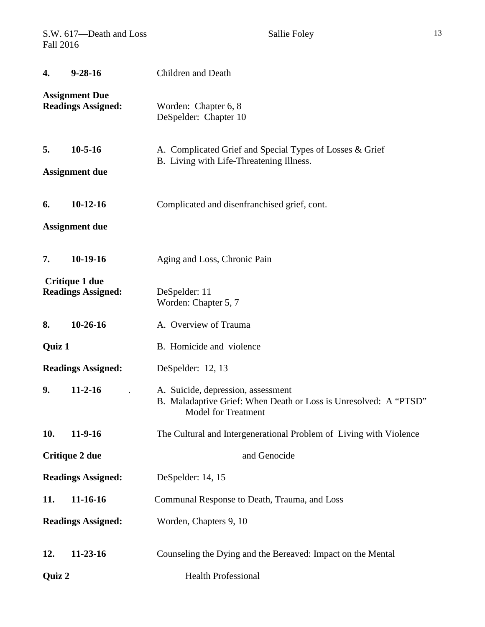| S.W. 617-Death and Loss<br><b>Fall 2016</b>        |                                        | Sallie Foley                                                                                                                         |  |  |  |  |  |  |
|----------------------------------------------------|----------------------------------------|--------------------------------------------------------------------------------------------------------------------------------------|--|--|--|--|--|--|
| 4.                                                 | $9 - 28 - 16$                          | Children and Death                                                                                                                   |  |  |  |  |  |  |
| <b>Assignment Due</b><br><b>Readings Assigned:</b> |                                        | Worden: Chapter 6, 8<br>DeSpelder: Chapter 10                                                                                        |  |  |  |  |  |  |
| 5.                                                 | $10 - 5 - 16$<br><b>Assignment due</b> | A. Complicated Grief and Special Types of Losses & Grief<br>B. Living with Life-Threatening Illness.                                 |  |  |  |  |  |  |
| 6.                                                 | $10-12-16$<br><b>Assignment due</b>    | Complicated and disenfranchised grief, cont.                                                                                         |  |  |  |  |  |  |
| 7.                                                 | $10-19-16$                             | Aging and Loss, Chronic Pain                                                                                                         |  |  |  |  |  |  |
| Critique 1 due<br><b>Readings Assigned:</b>        |                                        | DeSpelder: 11<br>Worden: Chapter 5, 7                                                                                                |  |  |  |  |  |  |
| 8.                                                 | $10-26-16$<br>A. Overview of Trauma    |                                                                                                                                      |  |  |  |  |  |  |
| Quiz 1                                             |                                        | B. Homicide and violence                                                                                                             |  |  |  |  |  |  |
|                                                    | <b>Readings Assigned:</b>              | DeSpelder: 12, 13                                                                                                                    |  |  |  |  |  |  |
| 9.                                                 | $11-2-16$                              | A. Suicide, depression, assessment<br>B. Maladaptive Grief: When Death or Loss is Unresolved: A "PTSD"<br><b>Model for Treatment</b> |  |  |  |  |  |  |
| 10.                                                | $11-9-16$                              | The Cultural and Intergenerational Problem of Living with Violence                                                                   |  |  |  |  |  |  |
| Critique 2 due                                     |                                        | and Genocide                                                                                                                         |  |  |  |  |  |  |
| <b>Readings Assigned:</b>                          |                                        | DeSpelder: 14, 15                                                                                                                    |  |  |  |  |  |  |
| 11.                                                | 11-16-16                               | Communal Response to Death, Trauma, and Loss                                                                                         |  |  |  |  |  |  |
|                                                    | <b>Readings Assigned:</b>              | Worden, Chapters 9, 10                                                                                                               |  |  |  |  |  |  |
| 12.                                                | $11-23-16$                             | Counseling the Dying and the Bereaved: Impact on the Mental                                                                          |  |  |  |  |  |  |
| Quiz 2                                             |                                        | <b>Health Professional</b>                                                                                                           |  |  |  |  |  |  |